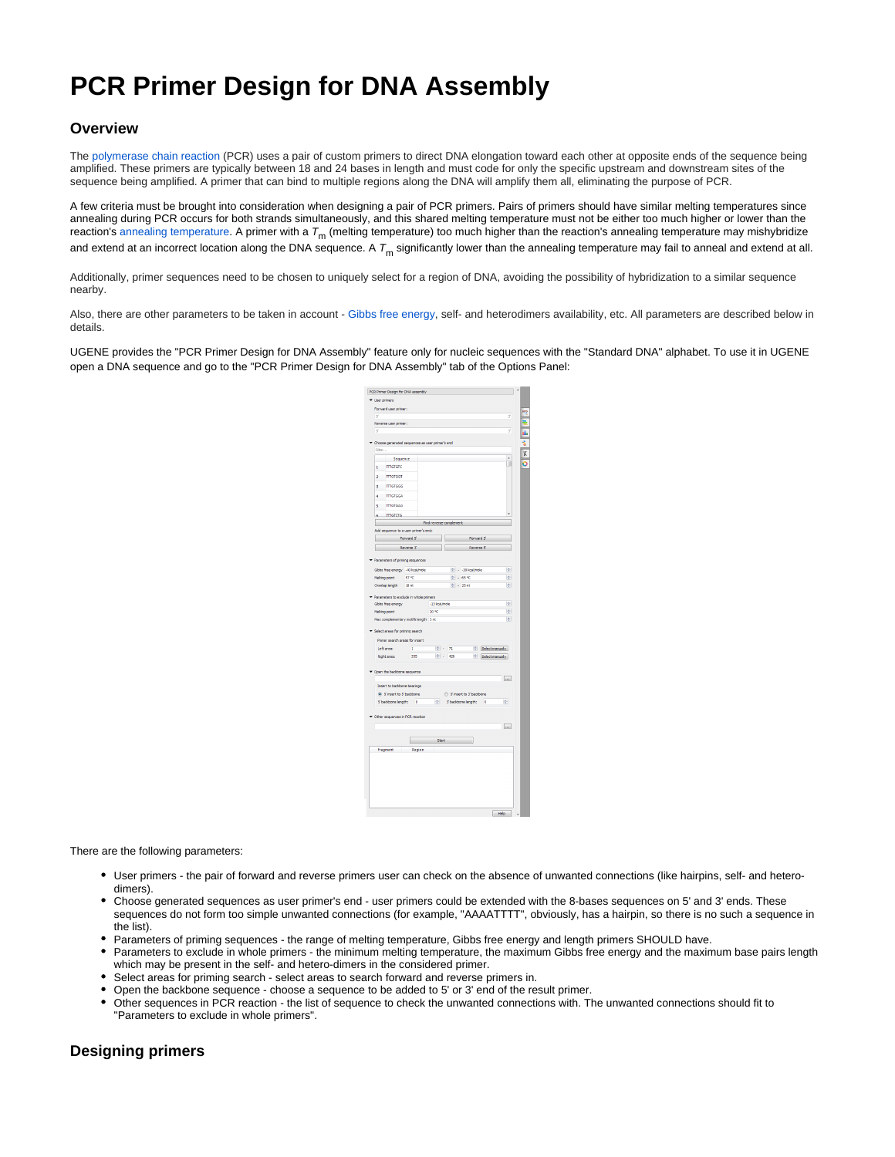# **PCR Primer Design for DNA Assembly**

# **Overview**

The [polymerase chain reaction](https://en.wikipedia.org/wiki/Polymerase_chain_reaction) (PCR) uses a pair of custom primers to direct DNA elongation toward each other at opposite ends of the sequence being amplified. These primers are typically between 18 and 24 bases in length and must code for only the specific upstream and downstream sites of the sequence being amplified. A primer that can bind to multiple regions along the DNA will amplify them all, eliminating the purpose of PCR.

A few criteria must be brought into consideration when designing a pair of PCR primers. Pairs of primers should have similar melting temperatures since annealing during PCR occurs for both strands simultaneously, and this shared melting temperature must not be either too much higher or lower than the reaction's [annealing temperature](https://en.wikipedia.org/wiki/Annealing_(biology)). A primer with a  $T_m$  (melting temperature) too much higher than the reaction's annealing temperature may mishybridize and extend at an incorrect location along the DNA sequence. A  $T<sub>m</sub>$  significantly lower than the annealing temperature may fail to anneal and extend at all.

Additionally, primer sequences need to be chosen to uniquely select for a region of DNA, avoiding the possibility of hybridization to a similar sequence nearby.

Also, there are other parameters to be taken in account - [Gibbs free energy,](https://en.wikipedia.org/wiki/Gibbs_free_energy) self- and heterodimers availability, etc. All parameters are described below in details.

UGENE provides the "PCR Primer Design for DNA Assembly" feature only for nucleic sequences with the "Standard DNA" alphabet. To use it in UGENE open a DNA sequence and go to the "PCR Primer Design for DNA Assembly" tab of the Options Panel:

|                | PCR Primer Design for DNA assembly              |                  |                         |           |       |                           |           |                      |                  |  |  |
|----------------|-------------------------------------------------|------------------|-------------------------|-----------|-------|---------------------------|-----------|----------------------|------------------|--|--|
| * User primers |                                                 |                  |                         |           |       |                           |           |                      |                  |  |  |
|                | Forward user primer:                            |                  |                         |           |       |                           |           |                      | 3                |  |  |
| ×              | Reverse user primer:                            |                  |                         |           |       |                           |           |                      |                  |  |  |
| ¢              |                                                 |                  |                         |           |       |                           |           |                      | ż                |  |  |
|                |                                                 |                  |                         |           |       |                           |           |                      |                  |  |  |
|                | Choose generated sequences as user primer's end |                  |                         |           |       |                           |           |                      |                  |  |  |
| Fiter          |                                                 |                  |                         |           |       |                           |           |                      |                  |  |  |
|                | Sequence                                        |                  |                         |           |       |                           |           |                      | À<br>╗           |  |  |
| $\mathbf{1}$   | <b>TITGTGTC</b>                                 |                  |                         |           |       |                           |           |                      |                  |  |  |
| $\overline{a}$ | <b>TITGTGGT</b>                                 |                  |                         |           |       |                           |           |                      |                  |  |  |
|                | 3 <b>TITIGTGGG</b>                              |                  |                         |           |       |                           |           |                      |                  |  |  |
| à              | <b>TTTGTGGA</b>                                 |                  |                         |           |       |                           |           |                      |                  |  |  |
| ś              | <b>TTTGTGAG</b>                                 |                  |                         |           |       |                           |           |                      |                  |  |  |
|                | 6 <b>ITTGTCTG</b>                               |                  |                         |           |       |                           |           |                      |                  |  |  |
|                |                                                 |                  | Find reverse-complement |           |       |                           |           |                      |                  |  |  |
|                | Add sequence to a user primer's end:            |                  |                         |           |       |                           |           |                      |                  |  |  |
|                | <b>Excess Forward State Control</b>             |                  |                         |           |       |                           | Forward 3 |                      |                  |  |  |
|                |                                                 |                  | Reverse 3               |           |       | Reverse S                 |           |                      |                  |  |  |
|                |                                                 |                  |                         |           |       |                           |           |                      |                  |  |  |
|                | Parameters of priming sequences                 |                  |                         |           |       |                           |           |                      |                  |  |  |
|                | Gbbs free energy 40 kcal/inde                   |                  |                         |           |       | + -30 kcal/mole           |           |                      | H                |  |  |
|                | Melting point                                   | 57 90            |                         | $0 + 65%$ |       |                           |           |                      |                  |  |  |
|                | Overlap length                                  | 18 <sub>nt</sub> |                         |           |       | $\Leftrightarrow$ - 25 nt |           |                      | 倒                |  |  |
|                | Parameters to exclude in whole primers          |                  |                         |           |       |                           |           |                      |                  |  |  |
|                | Gbbs free energy                                |                  | -13 kcal/mole           |           |       |                           |           |                      | io.              |  |  |
| Melting point  |                                                 |                  | 20 °C                   |           |       |                           |           |                      | 圏                |  |  |
|                | Max complementary motifs length 3 nt            |                  |                         |           |       |                           |           |                      | ы                |  |  |
|                | Select areas for priming search                 |                  |                         |           |       |                           |           |                      |                  |  |  |
|                |                                                 |                  |                         |           |       |                           |           |                      |                  |  |  |
|                | Primer search areas for insert                  |                  |                         |           |       |                           |           |                      |                  |  |  |
|                | Left area:                                      | Ŧ                |                         | $2 + 71$  |       |                           |           | C Select manually    |                  |  |  |
|                | Right area:                                     | 355              |                         |           | 0.426 |                           |           | Select manually      |                  |  |  |
|                | Open the backbone sequence                      |                  |                         |           |       |                           |           |                      |                  |  |  |
|                |                                                 |                  |                         |           |       |                           |           |                      | in.              |  |  |
|                | Insert to backbone bearings                     |                  |                         |           |       |                           |           |                      |                  |  |  |
|                | @ Sinsert to 5 backbone                         |                  |                         |           |       | Sinsert to 3' backbone    |           |                      |                  |  |  |
|                | S' baddone length: 0                            |                  |                         | ÷         |       | 3' backbone length:       |           | $\ddot{\phantom{0}}$ | ÷                |  |  |
|                |                                                 |                  |                         |           |       |                           |           |                      |                  |  |  |
|                | Other sequences in PCR reaction                 |                  |                         |           |       |                           |           |                      |                  |  |  |
|                |                                                 |                  |                         |           |       |                           |           |                      | $\boxed{\cdots}$ |  |  |
|                |                                                 |                  |                         |           |       |                           |           |                      |                  |  |  |
|                |                                                 |                  |                         |           |       |                           |           |                      |                  |  |  |
|                |                                                 |                  |                         | Start:    |       |                           |           |                      |                  |  |  |

There are the following parameters:

- User primers the pair of forward and reverse primers user can check on the absence of unwanted connections (like hairpins, self- and heterodimers).
- Choose generated sequences as user primer's end user primers could be extended with the 8-bases sequences on 5' and 3' ends. These sequences do not form too simple unwanted connections (for example, "AAAATTTT", obviously, has a hairpin, so there is no such a sequence in the list).
- Parameters of priming sequences the range of melting temperature, Gibbs free energy and length primers SHOULD have.
- Parameters to exclude in whole primers the minimum melting temperature, the maximum Gibbs free energy and the maximum base pairs length which may be present in the self- and hetero-dimers in the considered primer.
- Select areas for priming search select areas to search forward and reverse primers in.
- Open the backbone sequence choose a sequence to be added to 5' or 3' end of the result primer.
- Other sequences in PCR reaction the list of sequence to check the unwanted connections with. The unwanted connections should fit to "Parameters to exclude in whole primers".

## **Designing primers**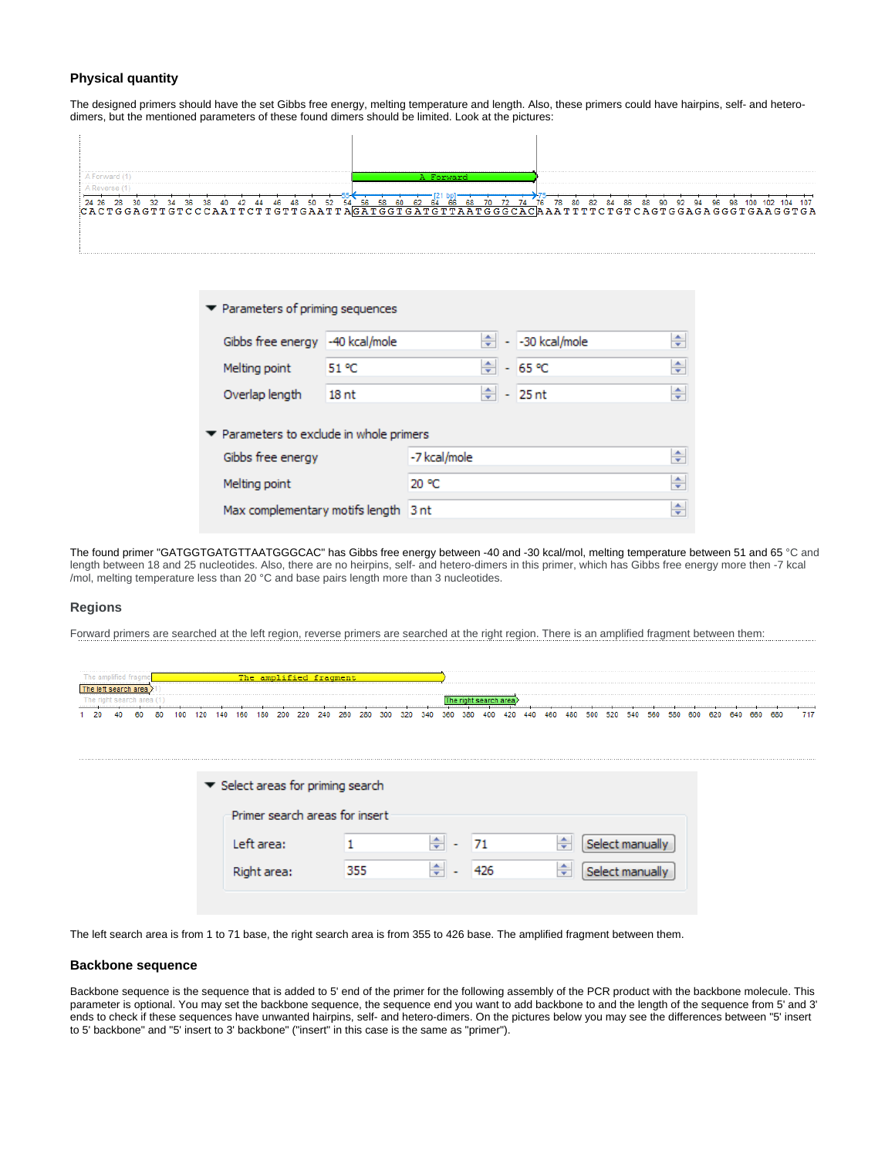### **Physical quantity**

The designed primers should have the set Gibbs free energy, melting temperature and length. Also, these primers could have hairpins, self- and heterodimers, but the mentioned parameters of these found dimers should be limited. Look at the pictures:

|  | 107<br>96.                                                                           |
|--|--------------------------------------------------------------------------------------|
|  | CACTGGAGTTGTCCCAATTCTTGTTGAATTAGATGGTGATGTTAATGGGCACAAATTTTCTGTCAGTGGAGAGGGTGAAGGTGA |
|  |                                                                                      |
|  |                                                                                      |

| $\blacktriangleright$ Parameters of priming sequences        |                  |              |  |                        |   |
|--------------------------------------------------------------|------------------|--------------|--|------------------------|---|
| Gibbs free energy -40 kcal/mole                              |                  |              |  | $\div$ - -30 kcal/mole | ÷ |
| Melting point                                                | 51 °C            |              |  | ≑ - 65 ℃               | ÷ |
| Overlap length                                               | 18 <sub>nt</sub> |              |  | $\frac{1}{2}$ - 25 nt  | ÷ |
| $\blacktriangleright$ Parameters to exclude in whole primers |                  |              |  |                        |   |
| Gibbs free energy                                            |                  | -7 kcal/mole |  |                        | ÷ |
| Melting point                                                |                  | 20 °C        |  |                        | ÷ |
| Max complementary motifs length 3 nt                         |                  |              |  |                        | ÷ |

The found primer "GATGGTGATGTTAATGGGCAC" has Gibbs free energy between -40 and -30 kcal/mol, melting temperature between 51 and 65 °C and length between 18 and 25 nucleotides. Also, there are no heirpins, self- and hetero-dimers in this primer, which has Gibbs free energy more then -7 kcal /mol, melting temperature less than 20 °C and base pairs length more than 3 nucleotides.

#### **Regions**

Forward primers are searched at the left region, reverse primers are searched at the right region. There is an amplified fragment between them:

|            | -------------------------------- |    |    |     |     |  |     |     |     |     |     |     |     |     |             |     |     |         |     |     |     |              |          |      |     |     |     |     |     |     |     |     |
|------------|----------------------------------|----|----|-----|-----|--|-----|-----|-----|-----|-----|-----|-----|-----|-------------|-----|-----|---------|-----|-----|-----|--------------|----------|------|-----|-----|-----|-----|-----|-----|-----|-----|
|            |                                  |    |    |     |     |  |     |     |     |     |     |     |     |     |             |     |     |         |     |     |     |              |          |      |     |     |     |     |     |     |     |     |
| ---------- |                                  |    |    |     |     |  |     |     |     |     |     |     |     |     |             |     |     | _______ |     |     |     | . <b>. .</b> | <b>.</b> |      |     |     |     |     |     |     |     |     |
|            |                                  | 60 | 80 | 100 | 20. |  | 180 | 220 | 240 | 260 | 280 | 300 | 320 | 340 | 360<br>$-0$ | 380 | 404 | 420     | 440 | 460 | 480 |              | 520.     | 540. | 560 | 580 | 600 | 620 | 640 | 660 | 680 | 747 |

| $\blacktriangleright$ Select areas for priming search |     |   |      |                                             |
|-------------------------------------------------------|-----|---|------|---------------------------------------------|
| Primer search areas for insert                        |     |   |      |                                             |
| Left area:                                            |     | ÷ | - 71 | Select manually<br>÷                        |
| Right area:                                           | 355 | ÷ | 426  | Select manually<br>$\overline{\phantom{0}}$ |

The left search area is from 1 to 71 base, the right search area is from 355 to 426 base. The amplified fragment between them.

#### **Backbone sequence**

Backbone sequence is the sequence that is added to 5' end of the primer for the following assembly of the PCR product with the backbone molecule. This parameter is optional. You may set the backbone sequence, the sequence end you want to add backbone to and the length of the sequence from 5' and 3' ends to check if these sequences have unwanted hairpins, self- and hetero-dimers. On the pictures below you may see the differences between "5' insert to 5' backbone" and "5' insert to 3' backbone" ("insert" in this case is the same as "primer").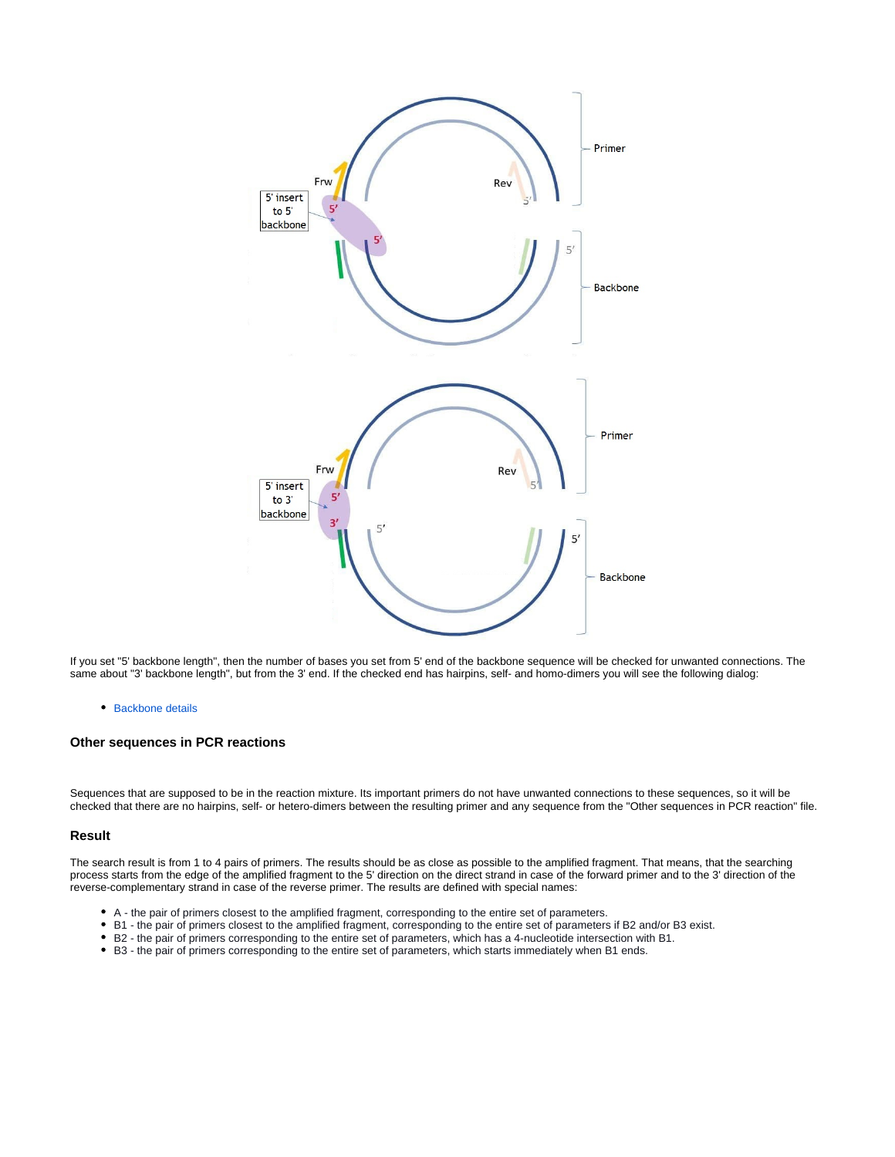

If you set "5' backbone length", then the number of bases you set from 5' end of the backbone sequence will be checked for unwanted connections. The same about "3' backbone length", but from the 3' end. If the checked end has hairpins, self- and homo-dimers you will see the following dialog:

#### • [Backbone details](https://doc.ugene.net/wiki/display/UM/Backbone+details)

#### **Other sequences in PCR reactions**

Sequences that are supposed to be in the reaction mixture. Its important primers do not have unwanted connections to these sequences, so it will be checked that there are no hairpins, self- or hetero-dimers between the resulting primer and any sequence from the "Other sequences in PCR reaction" file.

#### **Result**

The search result is from 1 to 4 pairs of primers. The results should be as close as possible to the amplified fragment. That means, that the searching process starts from the edge of the amplified fragment to the 5' direction on the direct strand in case of the forward primer and to the 3' direction of the reverse-complementary strand in case of the reverse primer. The results are defined with special names:

- A the pair of primers closest to the amplified fragment, corresponding to the entire set of parameters.
- B1 the pair of primers closest to the amplified fragment, corresponding to the entire set of parameters if B2 and/or B3 exist.
- B2 the pair of primers corresponding to the entire set of parameters, which has a 4-nucleotide intersection with B1.
- B3 the pair of primers corresponding to the entire set of parameters, which starts immediately when B1 ends.